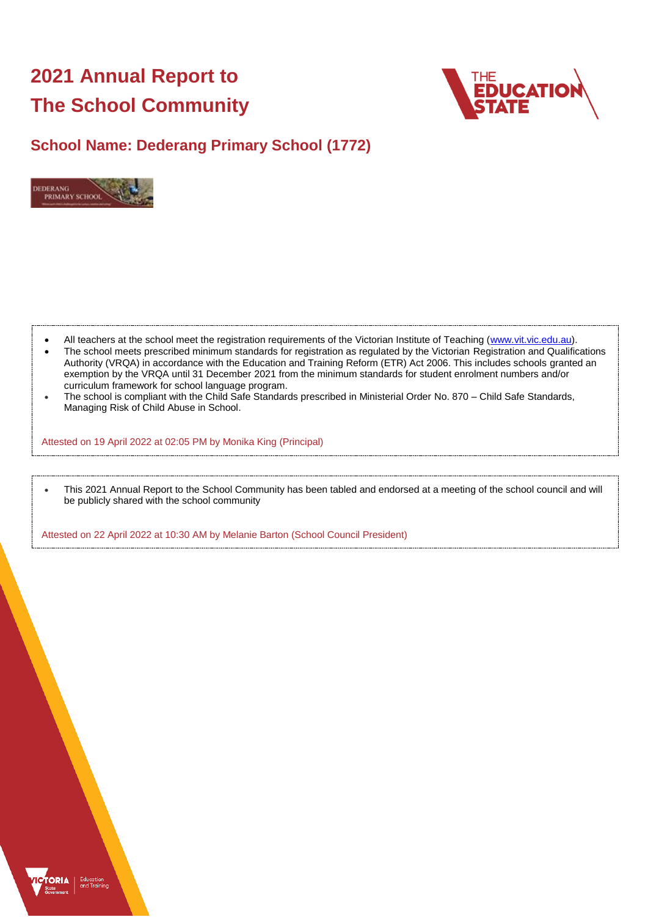# **2021 Annual Report to The School Community**



## **School Name: Dederang Primary School (1772)**



- All teachers at the school meet the registration requirements of the Victorian Institute of Teaching [\(www.vit.vic.edu.au\)](https://www.vit.vic.edu.au/).
- The school meets prescribed minimum standards for registration as regulated by the Victorian Registration and Qualifications Authority (VRQA) in accordance with the Education and Training Reform (ETR) Act 2006. This includes schools granted an exemption by the VRQA until 31 December 2021 from the minimum standards for student enrolment numbers and/or curriculum framework for school language program.
- The school is compliant with the Child Safe Standards prescribed in Ministerial Order No. 870 Child Safe Standards, Managing Risk of Child Abuse in School.

Attested on 19 April 2022 at 02:05 PM by Monika King (Principal)

 This 2021 Annual Report to the School Community has been tabled and endorsed at a meeting of the school council and will be publicly shared with the school community

Attested on 22 April 2022 at 10:30 AM by Melanie Barton (School Council President)

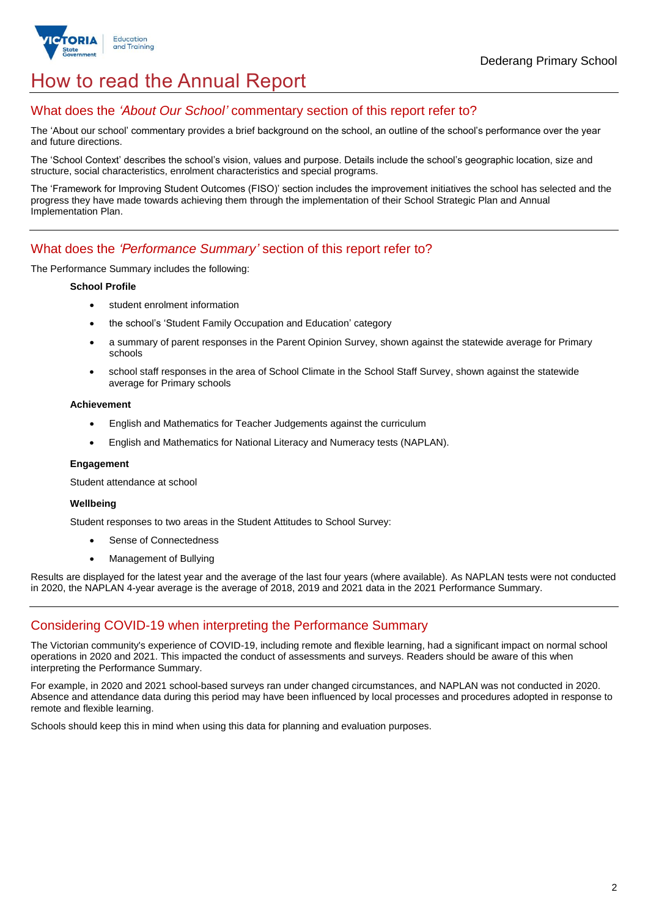

## How to read the Annual Report

## What does the *'About Our School'* commentary section of this report refer to?

The 'About our school' commentary provides a brief background on the school, an outline of the school's performance over the year and future directions.

The 'School Context' describes the school's vision, values and purpose. Details include the school's geographic location, size and structure, social characteristics, enrolment characteristics and special programs.

The 'Framework for Improving Student Outcomes (FISO)' section includes the improvement initiatives the school has selected and the progress they have made towards achieving them through the implementation of their School Strategic Plan and Annual Implementation Plan.

### What does the *'Performance Summary'* section of this report refer to?

The Performance Summary includes the following:

#### **School Profile**

- student enrolment information
- the school's 'Student Family Occupation and Education' category
- a summary of parent responses in the Parent Opinion Survey, shown against the statewide average for Primary schools
- school staff responses in the area of School Climate in the School Staff Survey, shown against the statewide average for Primary schools

#### **Achievement**

- English and Mathematics for Teacher Judgements against the curriculum
- English and Mathematics for National Literacy and Numeracy tests (NAPLAN).

#### **Engagement**

Student attendance at school

#### **Wellbeing**

Student responses to two areas in the Student Attitudes to School Survey:

- Sense of Connectedness
- Management of Bullying

Results are displayed for the latest year and the average of the last four years (where available). As NAPLAN tests were not conducted in 2020, the NAPLAN 4-year average is the average of 2018, 2019 and 2021 data in the 2021 Performance Summary.

### Considering COVID-19 when interpreting the Performance Summary

The Victorian community's experience of COVID-19, including remote and flexible learning, had a significant impact on normal school operations in 2020 and 2021. This impacted the conduct of assessments and surveys. Readers should be aware of this when interpreting the Performance Summary.

For example, in 2020 and 2021 school-based surveys ran under changed circumstances, and NAPLAN was not conducted in 2020. Absence and attendance data during this period may have been influenced by local processes and procedures adopted in response to remote and flexible learning.

Schools should keep this in mind when using this data for planning and evaluation purposes.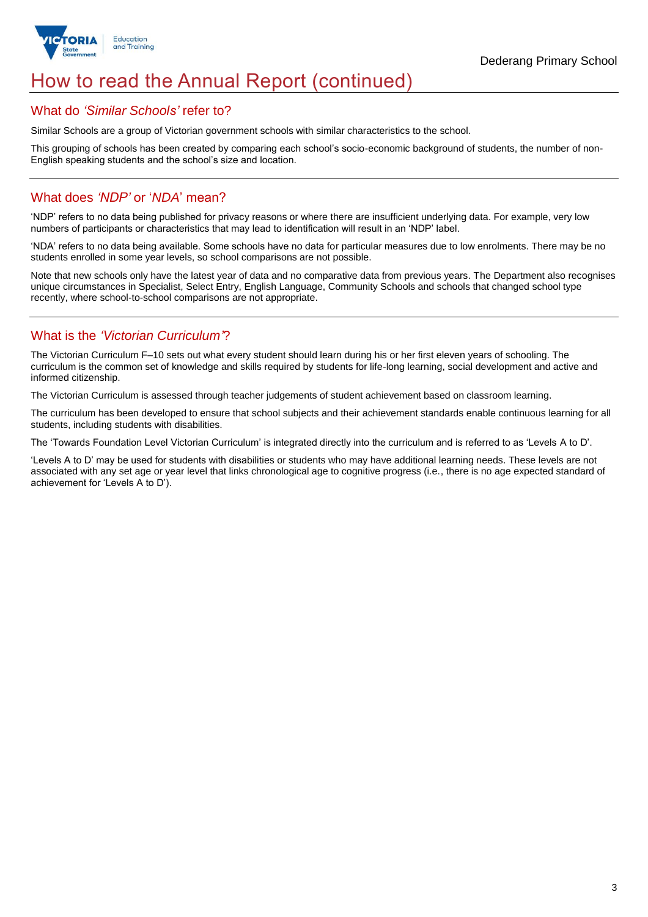

## How to read the Annual Report (continued)

### What do *'Similar Schools'* refer to?

Similar Schools are a group of Victorian government schools with similar characteristics to the school.

This grouping of schools has been created by comparing each school's socio-economic background of students, the number of non-English speaking students and the school's size and location.

## What does *'NDP'* or '*NDA*' mean?

'NDP' refers to no data being published for privacy reasons or where there are insufficient underlying data. For example, very low numbers of participants or characteristics that may lead to identification will result in an 'NDP' label.

'NDA' refers to no data being available. Some schools have no data for particular measures due to low enrolments. There may be no students enrolled in some year levels, so school comparisons are not possible.

Note that new schools only have the latest year of data and no comparative data from previous years. The Department also recognises unique circumstances in Specialist, Select Entry, English Language, Community Schools and schools that changed school type recently, where school-to-school comparisons are not appropriate.

## What is the *'Victorian Curriculum'*?

The Victorian Curriculum F–10 sets out what every student should learn during his or her first eleven years of schooling. The curriculum is the common set of knowledge and skills required by students for life-long learning, social development and active and informed citizenship.

The Victorian Curriculum is assessed through teacher judgements of student achievement based on classroom learning.

The curriculum has been developed to ensure that school subjects and their achievement standards enable continuous learning for all students, including students with disabilities.

The 'Towards Foundation Level Victorian Curriculum' is integrated directly into the curriculum and is referred to as 'Levels A to D'.

'Levels A to D' may be used for students with disabilities or students who may have additional learning needs. These levels are not associated with any set age or year level that links chronological age to cognitive progress (i.e., there is no age expected standard of achievement for 'Levels A to D').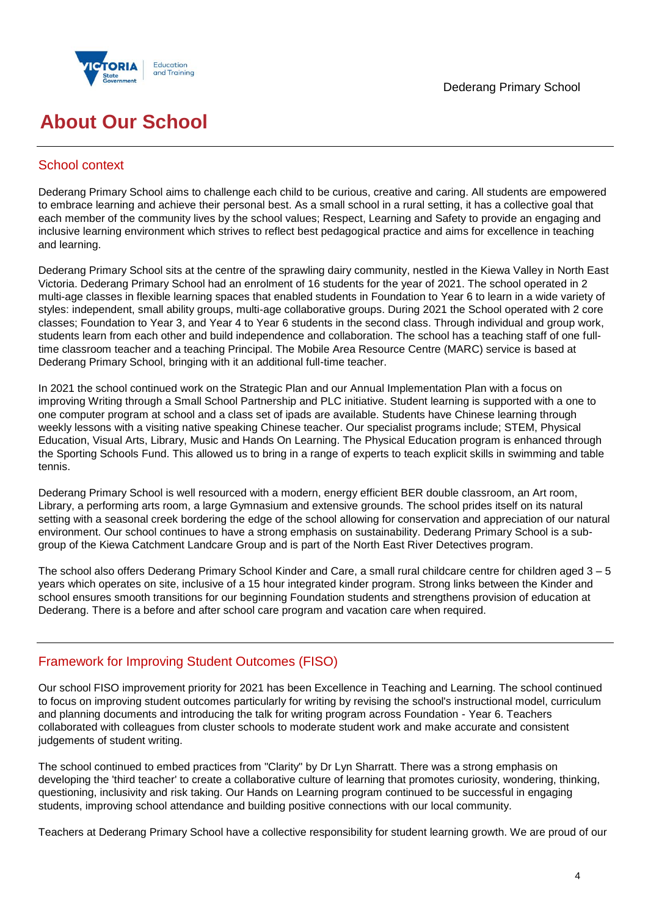



## **About Our School**

## School context

Dederang Primary School aims to challenge each child to be curious, creative and caring. All students are empowered to embrace learning and achieve their personal best. As a small school in a rural setting, it has a collective goal that each member of the community lives by the school values; Respect, Learning and Safety to provide an engaging and inclusive learning environment which strives to reflect best pedagogical practice and aims for excellence in teaching and learning.

Dederang Primary School sits at the centre of the sprawling dairy community, nestled in the Kiewa Valley in North East Victoria. Dederang Primary School had an enrolment of 16 students for the year of 2021. The school operated in 2 multi-age classes in flexible learning spaces that enabled students in Foundation to Year 6 to learn in a wide variety of styles: independent, small ability groups, multi-age collaborative groups. During 2021 the School operated with 2 core classes; Foundation to Year 3, and Year 4 to Year 6 students in the second class. Through individual and group work, students learn from each other and build independence and collaboration. The school has a teaching staff of one fulltime classroom teacher and a teaching Principal. The Mobile Area Resource Centre (MARC) service is based at Dederang Primary School, bringing with it an additional full-time teacher.

In 2021 the school continued work on the Strategic Plan and our Annual Implementation Plan with a focus on improving Writing through a Small School Partnership and PLC initiative. Student learning is supported with a one to one computer program at school and a class set of ipads are available. Students have Chinese learning through weekly lessons with a visiting native speaking Chinese teacher. Our specialist programs include; STEM, Physical Education, Visual Arts, Library, Music and Hands On Learning. The Physical Education program is enhanced through the Sporting Schools Fund. This allowed us to bring in a range of experts to teach explicit skills in swimming and table tennis.

Dederang Primary School is well resourced with a modern, energy efficient BER double classroom, an Art room, Library, a performing arts room, a large Gymnasium and extensive grounds. The school prides itself on its natural setting with a seasonal creek bordering the edge of the school allowing for conservation and appreciation of our natural environment. Our school continues to have a strong emphasis on sustainability. Dederang Primary School is a subgroup of the Kiewa Catchment Landcare Group and is part of the North East River Detectives program.

The school also offers Dederang Primary School Kinder and Care, a small rural childcare centre for children aged 3 – 5 years which operates on site, inclusive of a 15 hour integrated kinder program. Strong links between the Kinder and school ensures smooth transitions for our beginning Foundation students and strengthens provision of education at Dederang. There is a before and after school care program and vacation care when required.

## Framework for Improving Student Outcomes (FISO)

Our school FISO improvement priority for 2021 has been Excellence in Teaching and Learning. The school continued to focus on improving student outcomes particularly for writing by revising the school's instructional model, curriculum and planning documents and introducing the talk for writing program across Foundation - Year 6. Teachers collaborated with colleagues from cluster schools to moderate student work and make accurate and consistent judgements of student writing.

The school continued to embed practices from "Clarity" by Dr Lyn Sharratt. There was a strong emphasis on developing the 'third teacher' to create a collaborative culture of learning that promotes curiosity, wondering, thinking, questioning, inclusivity and risk taking. Our Hands on Learning program continued to be successful in engaging students, improving school attendance and building positive connections with our local community.

Teachers at Dederang Primary School have a collective responsibility for student learning growth. We are proud of our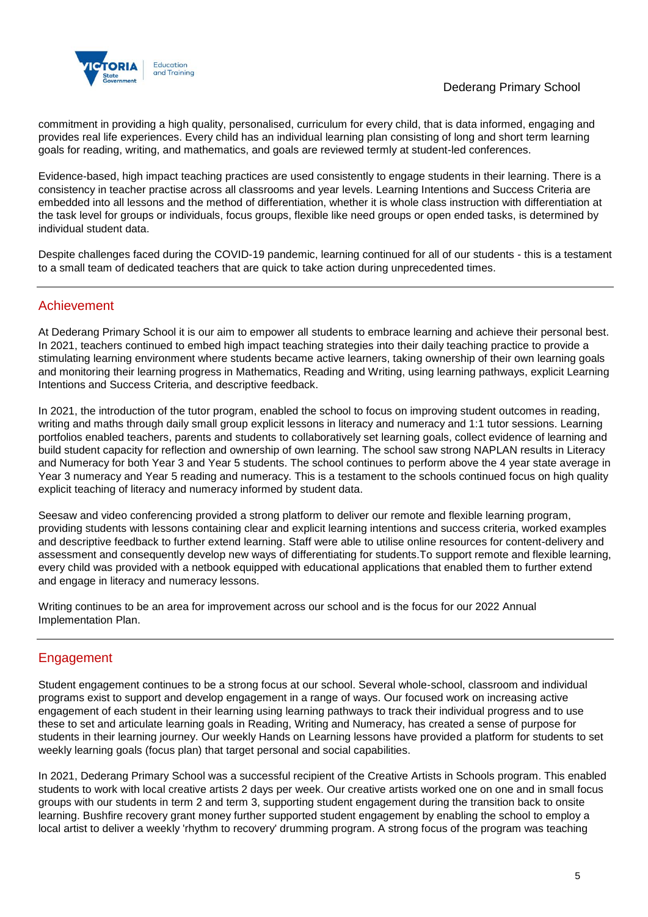

commitment in providing a high quality, personalised, curriculum for every child, that is data informed, engaging and provides real life experiences. Every child has an individual learning plan consisting of long and short term learning goals for reading, writing, and mathematics, and goals are reviewed termly at student-led conferences.

Evidence-based, high impact teaching practices are used consistently to engage students in their learning. There is a consistency in teacher practise across all classrooms and year levels. Learning Intentions and Success Criteria are embedded into all lessons and the method of differentiation, whether it is whole class instruction with differentiation at the task level for groups or individuals, focus groups, flexible like need groups or open ended tasks, is determined by individual student data.

Despite challenges faced during the COVID-19 pandemic, learning continued for all of our students - this is a testament to a small team of dedicated teachers that are quick to take action during unprecedented times.

## Achievement

At Dederang Primary School it is our aim to empower all students to embrace learning and achieve their personal best. In 2021, teachers continued to embed high impact teaching strategies into their daily teaching practice to provide a stimulating learning environment where students became active learners, taking ownership of their own learning goals and monitoring their learning progress in Mathematics, Reading and Writing, using learning pathways, explicit Learning Intentions and Success Criteria, and descriptive feedback.

In 2021, the introduction of the tutor program, enabled the school to focus on improving student outcomes in reading, writing and maths through daily small group explicit lessons in literacy and numeracy and 1:1 tutor sessions. Learning portfolios enabled teachers, parents and students to collaboratively set learning goals, collect evidence of learning and build student capacity for reflection and ownership of own learning. The school saw strong NAPLAN results in Literacy and Numeracy for both Year 3 and Year 5 students. The school continues to perform above the 4 year state average in Year 3 numeracy and Year 5 reading and numeracy. This is a testament to the schools continued focus on high quality explicit teaching of literacy and numeracy informed by student data.

Seesaw and video conferencing provided a strong platform to deliver our remote and flexible learning program, providing students with lessons containing clear and explicit learning intentions and success criteria, worked examples and descriptive feedback to further extend learning. Staff were able to utilise online resources for content-delivery and assessment and consequently develop new ways of differentiating for students.To support remote and flexible learning, every child was provided with a netbook equipped with educational applications that enabled them to further extend and engage in literacy and numeracy lessons.

Writing continues to be an area for improvement across our school and is the focus for our 2022 Annual Implementation Plan.

## Engagement

Student engagement continues to be a strong focus at our school. Several whole-school, classroom and individual programs exist to support and develop engagement in a range of ways. Our focused work on increasing active engagement of each student in their learning using learning pathways to track their individual progress and to use these to set and articulate learning goals in Reading, Writing and Numeracy, has created a sense of purpose for students in their learning journey. Our weekly Hands on Learning lessons have provided a platform for students to set weekly learning goals (focus plan) that target personal and social capabilities.

In 2021, Dederang Primary School was a successful recipient of the Creative Artists in Schools program. This enabled students to work with local creative artists 2 days per week. Our creative artists worked one on one and in small focus groups with our students in term 2 and term 3, supporting student engagement during the transition back to onsite learning. Bushfire recovery grant money further supported student engagement by enabling the school to employ a local artist to deliver a weekly 'rhythm to recovery' drumming program. A strong focus of the program was teaching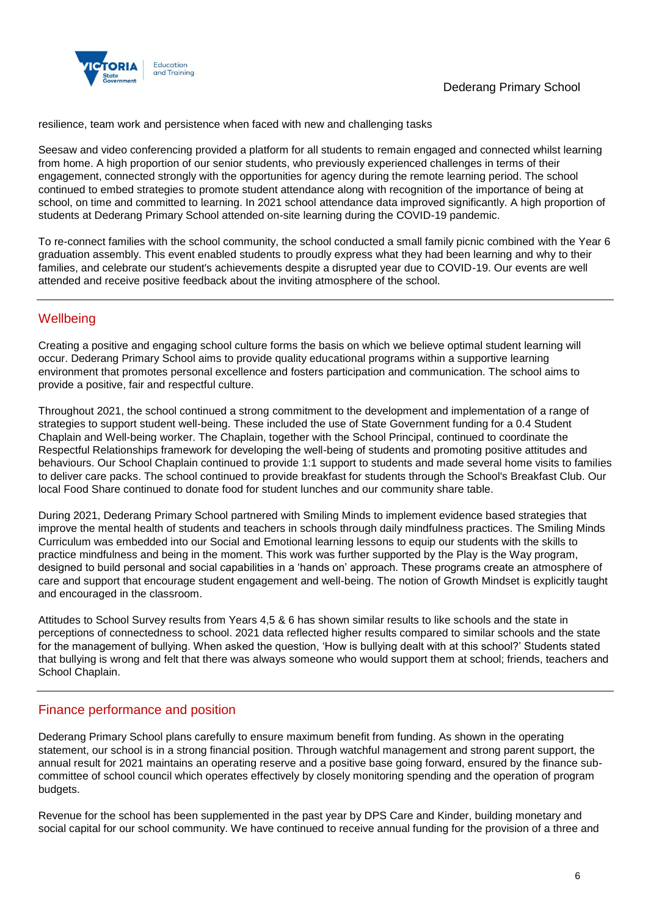

resilience, team work and persistence when faced with new and challenging tasks

Seesaw and video conferencing provided a platform for all students to remain engaged and connected whilst learning from home. A high proportion of our senior students, who previously experienced challenges in terms of their engagement, connected strongly with the opportunities for agency during the remote learning period. The school continued to embed strategies to promote student attendance along with recognition of the importance of being at school, on time and committed to learning. In 2021 school attendance data improved significantly. A high proportion of students at Dederang Primary School attended on-site learning during the COVID-19 pandemic.

To re-connect families with the school community, the school conducted a small family picnic combined with the Year 6 graduation assembly. This event enabled students to proudly express what they had been learning and why to their families, and celebrate our student's achievements despite a disrupted year due to COVID-19. Our events are well attended and receive positive feedback about the inviting atmosphere of the school.

## **Wellbeing**

Creating a positive and engaging school culture forms the basis on which we believe optimal student learning will occur. Dederang Primary School aims to provide quality educational programs within a supportive learning environment that promotes personal excellence and fosters participation and communication. The school aims to provide a positive, fair and respectful culture.

Throughout 2021, the school continued a strong commitment to the development and implementation of a range of strategies to support student well-being. These included the use of State Government funding for a 0.4 Student Chaplain and Well-being worker. The Chaplain, together with the School Principal, continued to coordinate the Respectful Relationships framework for developing the well-being of students and promoting positive attitudes and behaviours. Our School Chaplain continued to provide 1:1 support to students and made several home visits to families to deliver care packs. The school continued to provide breakfast for students through the School's Breakfast Club. Our local Food Share continued to donate food for student lunches and our community share table.

During 2021, Dederang Primary School partnered with Smiling Minds to implement evidence based strategies that improve the mental health of students and teachers in schools through daily mindfulness practices. The Smiling Minds Curriculum was embedded into our Social and Emotional learning lessons to equip our students with the skills to practice mindfulness and being in the moment. This work was further supported by the Play is the Way program, designed to build personal and social capabilities in a 'hands on' approach. These programs create an atmosphere of care and support that encourage student engagement and well-being. The notion of Growth Mindset is explicitly taught and encouraged in the classroom.

Attitudes to School Survey results from Years 4,5 & 6 has shown similar results to like schools and the state in perceptions of connectedness to school. 2021 data reflected higher results compared to similar schools and the state for the management of bullying. When asked the question, 'How is bullying dealt with at this school?' Students stated that bullying is wrong and felt that there was always someone who would support them at school; friends, teachers and School Chaplain.

## Finance performance and position

Dederang Primary School plans carefully to ensure maximum benefit from funding. As shown in the operating statement, our school is in a strong financial position. Through watchful management and strong parent support, the annual result for 2021 maintains an operating reserve and a positive base going forward, ensured by the finance subcommittee of school council which operates effectively by closely monitoring spending and the operation of program budgets.

Revenue for the school has been supplemented in the past year by DPS Care and Kinder, building monetary and social capital for our school community. We have continued to receive annual funding for the provision of a three and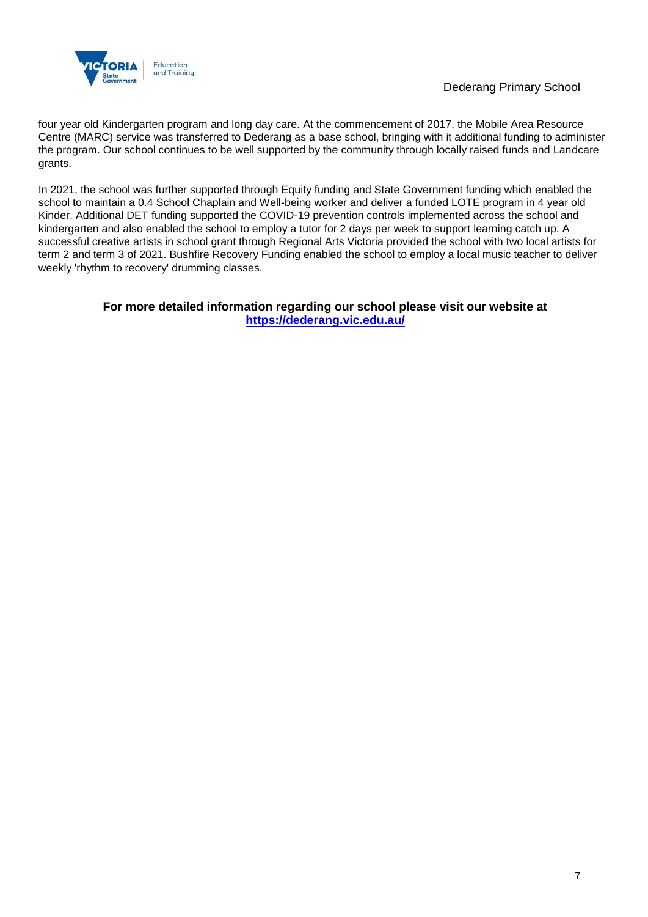

four year old Kindergarten program and long day care. At the commencement of 2017, the Mobile Area Resource Centre (MARC) service was transferred to Dederang as a base school, bringing with it additional funding to administer the program. Our school continues to be well supported by the community through locally raised funds and Landcare grants.

In 2021, the school was further supported through Equity funding and State Government funding which enabled the school to maintain a 0.4 School Chaplain and Well-being worker and deliver a funded LOTE program in 4 year old Kinder. Additional DET funding supported the COVID-19 prevention controls implemented across the school and kindergarten and also enabled the school to employ a tutor for 2 days per week to support learning catch up. A successful creative artists in school grant through Regional Arts Victoria provided the school with two local artists for term 2 and term 3 of 2021. Bushfire Recovery Funding enabled the school to employ a local music teacher to deliver weekly 'rhythm to recovery' drumming classes.

### **For more detailed information regarding our school please visit our website at <https://dederang.vic.edu.au/>**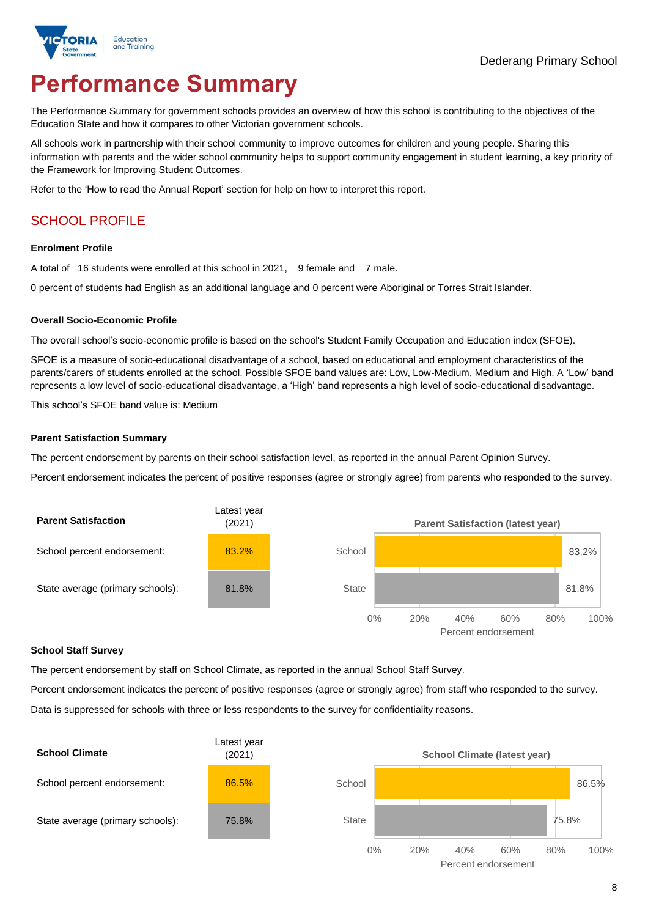

# **Performance Summary**

The Performance Summary for government schools provides an overview of how this school is contributing to the objectives of the Education State and how it compares to other Victorian government schools.

All schools work in partnership with their school community to improve outcomes for children and young people. Sharing this information with parents and the wider school community helps to support community engagement in student learning, a key priority of the Framework for Improving Student Outcomes.

Refer to the 'How to read the Annual Report' section for help on how to interpret this report.

## SCHOOL PROFILE

#### **Enrolment Profile**

A total of 16 students were enrolled at this school in 2021, 9 female and 7 male.

0 percent of students had English as an additional language and 0 percent were Aboriginal or Torres Strait Islander.

#### **Overall Socio-Economic Profile**

The overall school's socio-economic profile is based on the school's Student Family Occupation and Education index (SFOE).

SFOE is a measure of socio-educational disadvantage of a school, based on educational and employment characteristics of the parents/carers of students enrolled at the school. Possible SFOE band values are: Low, Low-Medium, Medium and High. A 'Low' band represents a low level of socio-educational disadvantage, a 'High' band represents a high level of socio-educational disadvantage.

This school's SFOE band value is: Medium

#### **Parent Satisfaction Summary**

The percent endorsement by parents on their school satisfaction level, as reported in the annual Parent Opinion Survey.

Percent endorsement indicates the percent of positive responses (agree or strongly agree) from parents who responded to the survey.



#### **School Staff Survey**

The percent endorsement by staff on School Climate, as reported in the annual School Staff Survey.

Percent endorsement indicates the percent of positive responses (agree or strongly agree) from staff who responded to the survey. Data is suppressed for schools with three or less respondents to the survey for confidentiality reasons.

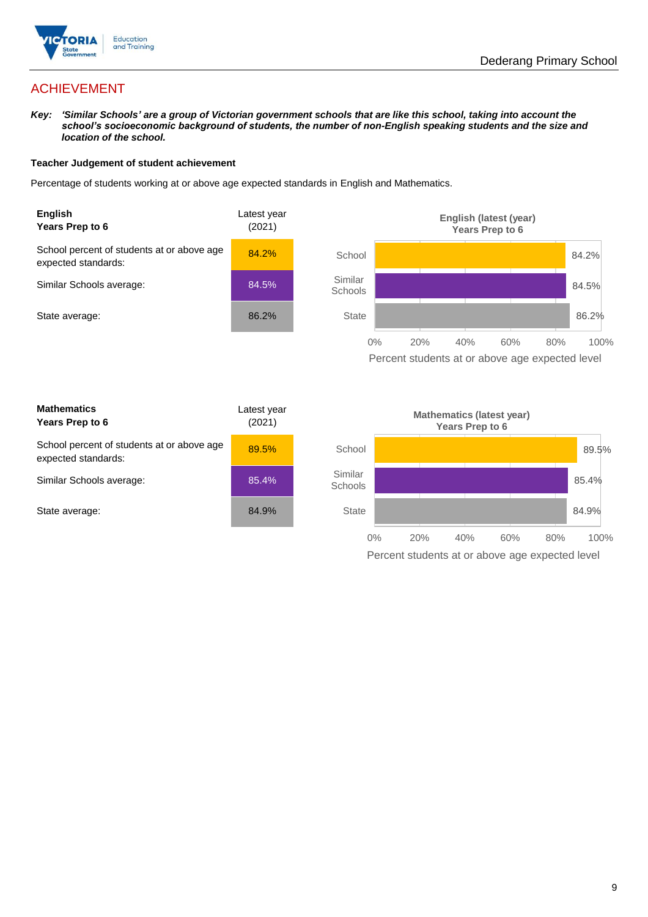

## ACHIEVEMENT

*Key: 'Similar Schools' are a group of Victorian government schools that are like this school, taking into account the school's socioeconomic background of students, the number of non-English speaking students and the size and location of the school.*

#### **Teacher Judgement of student achievement**

Percentage of students working at or above age expected standards in English and Mathematics.



Percent students at or above age expected level

| <b>Mathematics</b><br>Years Prep to 6                             | Latest year<br>(2021) |
|-------------------------------------------------------------------|-----------------------|
| School percent of students at or above age<br>expected standards: | 89.5%                 |
| Similar Schools average:                                          | 85.4%                 |
| State average:                                                    | 84.9%                 |

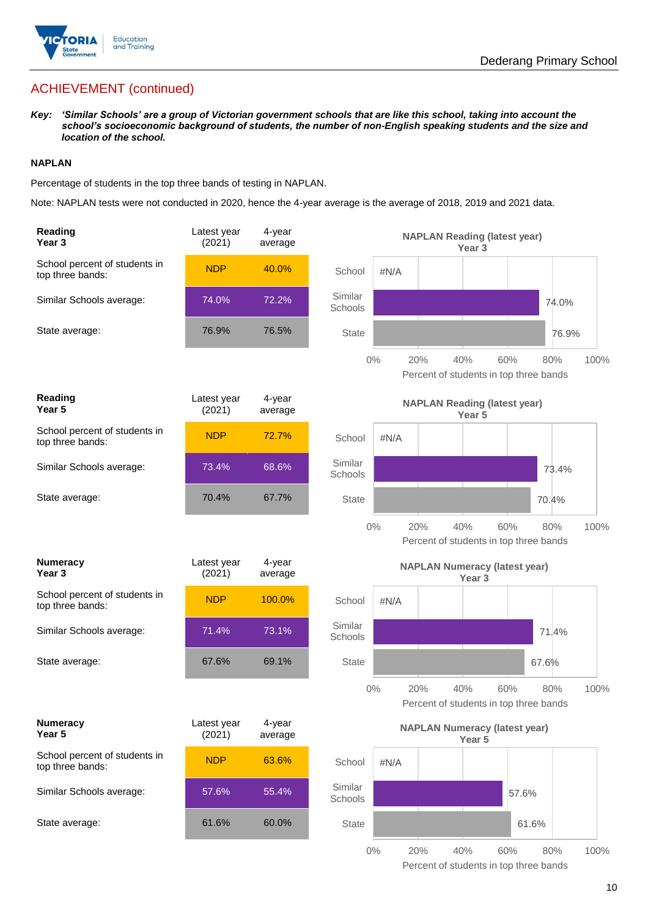

## ACHIEVEMENT (continued)

*Key: 'Similar Schools' are a group of Victorian government schools that are like this school, taking into account the school's socioeconomic background of students, the number of non-English speaking students and the size and location of the school.*

#### **NAPLAN**

Percentage of students in the top three bands of testing in NAPLAN.

Note: NAPLAN tests were not conducted in 2020, hence the 4-year average is the average of 2018, 2019 and 2021 data.

| Reading<br>Year <sub>3</sub>                      | Latest year<br>(2021) | 4-year<br>average |                                               |       | <b>NAPLAN Reading (latest year)</b>  | Year 3            |     |                                               |       |
|---------------------------------------------------|-----------------------|-------------------|-----------------------------------------------|-------|--------------------------------------|-------------------|-----|-----------------------------------------------|-------|
| School percent of students in<br>top three bands: | <b>NDP</b>            | 40.0%             | School                                        | #N/A  |                                      |                   |     |                                               |       |
| Similar Schools average:                          | 74.0%                 | 72.2%             | Similar<br>Schools                            |       |                                      |                   |     | 74.0%                                         |       |
| State average:                                    | 76.9%                 | 76.5%             | State                                         |       |                                      |                   |     |                                               | 76.9% |
|                                                   |                       |                   |                                               | 0%    | 20%                                  | 40%               | 60% | 80%<br>Percent of students in top three bands | 100%  |
| Reading<br>Year 5                                 | Latest year<br>(2021) | 4-year<br>average | <b>NAPLAN Reading (latest year)</b><br>Year 5 |       |                                      |                   |     |                                               |       |
| School percent of students in<br>top three bands: | <b>NDP</b>            | 72.7%             | School                                        | #N/A  |                                      |                   |     |                                               |       |
| Similar Schools average:                          | 73.4%                 | 68.6%             | Similar<br>Schools                            |       |                                      |                   |     | 73.4%                                         |       |
| State average:                                    | 70.4%                 | 67.7%             | <b>State</b>                                  |       |                                      |                   |     | 70.4%                                         |       |
|                                                   |                       |                   |                                               | $0\%$ | 20%                                  | 40%               | 60% | 80%<br>Percent of students in top three bands | 100%  |
|                                                   |                       |                   |                                               |       |                                      |                   |     |                                               |       |
| <b>Numeracy</b><br>Year <sub>3</sub>              | Latest year<br>(2021) | 4-year<br>average |                                               |       | <b>NAPLAN Numeracy (latest year)</b> | Year <sub>3</sub> |     |                                               |       |
| School percent of students in<br>top three bands: | <b>NDP</b>            | 100.0%            | School                                        | #N/A  |                                      |                   |     |                                               |       |
| Similar Schools average:                          | 71.4%                 | 73.1%             | Similar<br>Schools                            |       |                                      |                   |     | 71.4%                                         |       |
| State average:                                    | 67.6%                 | 69.1%             | <b>State</b>                                  |       |                                      |                   |     | 67.6%                                         |       |
|                                                   |                       |                   |                                               | 0%    | 20%                                  | 40%               | 60% | 80%<br>Percent of students in top three bands | 100%  |
| <b>Numeracy</b><br>Year 5                         | Latest year<br>(2021) | 4-year<br>average |                                               |       | <b>NAPLAN Numeracy (latest year)</b> | Year 5            |     |                                               |       |
| School percent of students in<br>top three bands: | <b>NDP</b>            | 63.6%             | School                                        | #N/A  |                                      |                   |     |                                               |       |
| Similar Schools average:                          | 57.6%                 | 55.4%             | Similar<br>Schools                            |       |                                      |                   |     | 57.6%                                         |       |
| State average:                                    | 61.6%                 | 60.0%             | <b>State</b>                                  |       |                                      |                   |     | 61.6%                                         |       |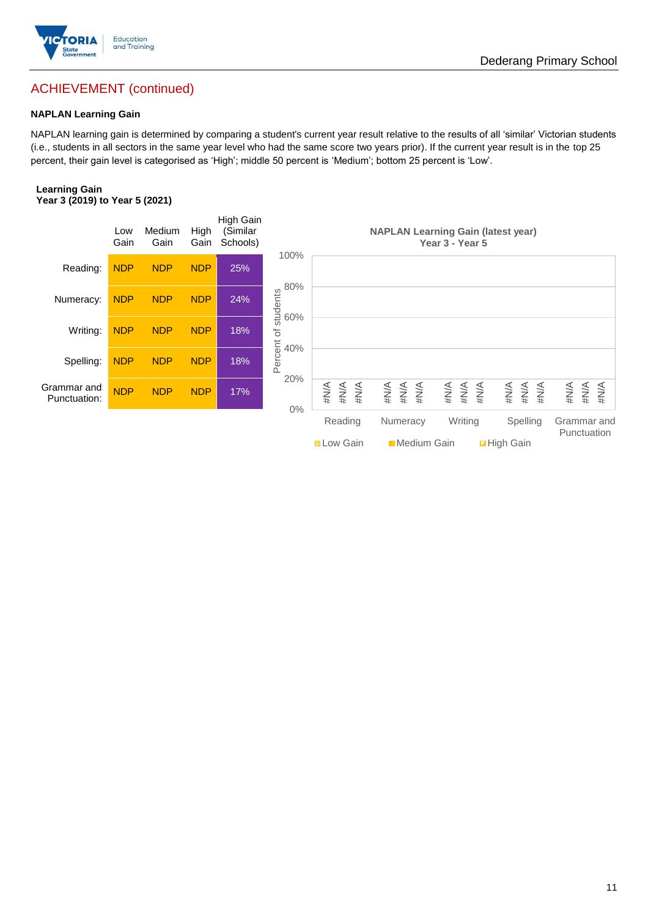

## Dederang Primary School

## ACHIEVEMENT (continued)

#### **NAPLAN Learning Gain**

NAPLAN learning gain is determined by comparing a student's current year result relative to the results of all 'similar' Victorian students (i.e., students in all sectors in the same year level who had the same score two years prior). If the current year result is in the top 25 percent, their gain level is categorised as 'High'; middle 50 percent is 'Medium'; bottom 25 percent is 'Low'.

#### **Learning Gain Year 3 (2019) to Year 5 (2021)**

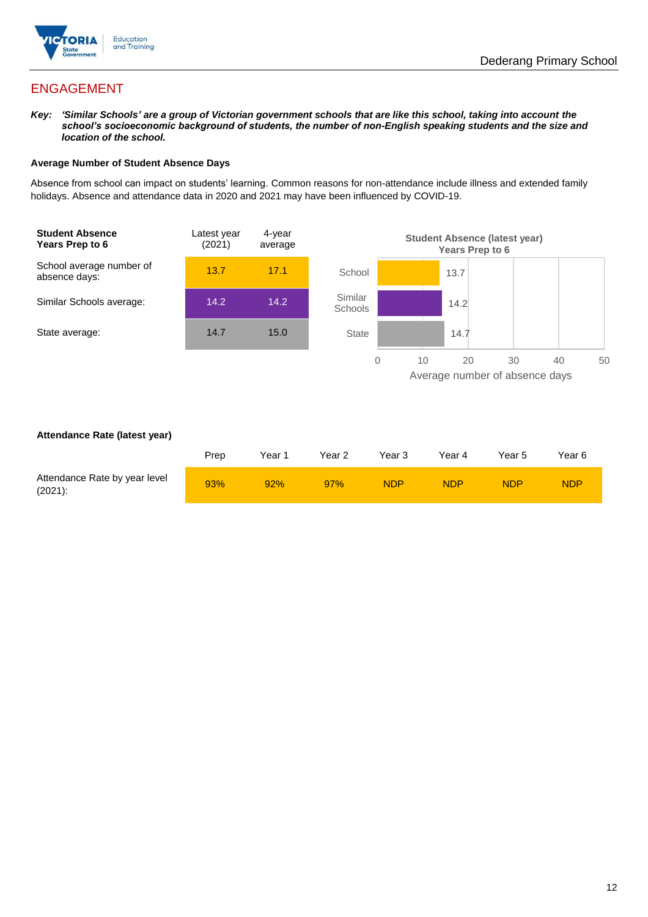

## ENGAGEMENT

*Key: 'Similar Schools' are a group of Victorian government schools that are like this school, taking into account the school's socioeconomic background of students, the number of non-English speaking students and the size and location of the school.*

#### **Average Number of Student Absence Days**

Absence from school can impact on students' learning. Common reasons for non-attendance include illness and extended family holidays. Absence and attendance data in 2020 and 2021 may have been influenced by COVID-19.



#### **Attendance Rate (latest year)**

|                                             | Prep | Year 1 | Year 2 | Year 3     | Year 4     | Year 5 | Year 6     |
|---------------------------------------------|------|--------|--------|------------|------------|--------|------------|
| Attendance Rate by year level<br>$(2021)$ : | 93%  | 92%    | 97%    | <b>NDP</b> | <b>NDP</b> | NDP    | <b>NDP</b> |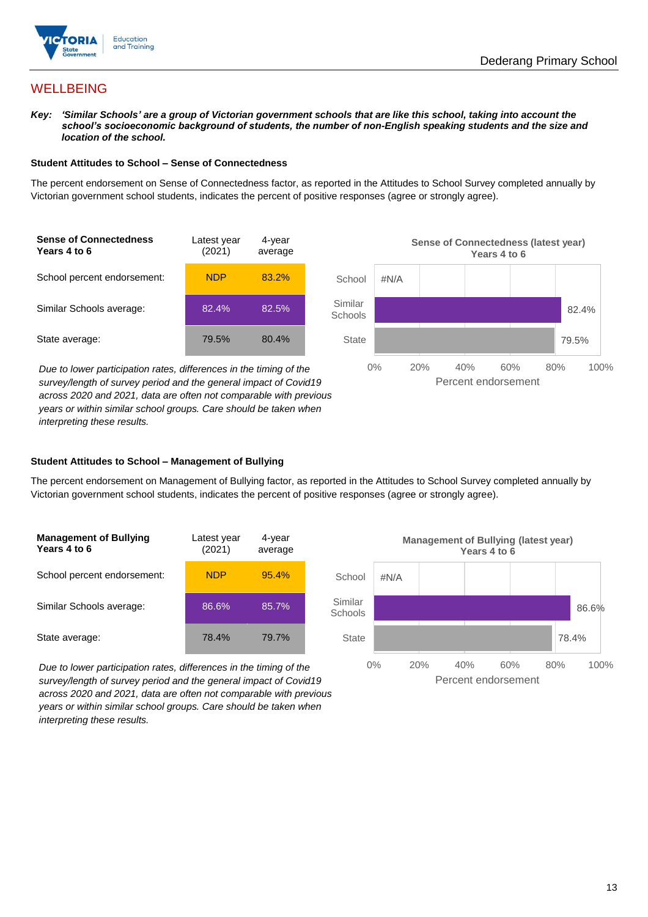

82.4%

79.5%

## **WELLBEING**

*Key: 'Similar Schools' are a group of Victorian government schools that are like this school, taking into account the*  school's socioeconomic background of students, the number of non-English speaking students and the size and *location of the school.*

#### **Student Attitudes to School – Sense of Connectedness**

The percent endorsement on Sense of Connectedness factor, as reported in the Attitudes to School Survey completed annually by Victorian government school students, indicates the percent of positive responses (agree or strongly agree).



*Due to lower participation rates, differences in the timing of the survey/length of survey period and the general impact of Covid19 across 2020 and 2021, data are often not comparable with previous years or within similar school groups. Care should be taken when interpreting these results.*

## **Student Attitudes to School – Management of Bullying**

The percent endorsement on Management of Bullying factor, as reported in the Attitudes to School Survey completed annually by Victorian government school students, indicates the percent of positive responses (agree or strongly agree).

| <b>Management of Bullying</b><br>Years 4 to 6 | Latest year<br>(2021) | 4-year<br>average |  |
|-----------------------------------------------|-----------------------|-------------------|--|
| School percent endorsement:                   | <b>NDP</b>            | 95.4%             |  |
| Similar Schools average:                      | 86.6%                 | 85.7%             |  |
| State average:                                | 78.4%                 | 79.7%             |  |

*Due to lower participation rates, differences in the timing of the survey/length of survey period and the general impact of Covid19 across 2020 and 2021, data are often not comparable with previous years or within similar school groups. Care should be taken when interpreting these results.*



Percent endorsement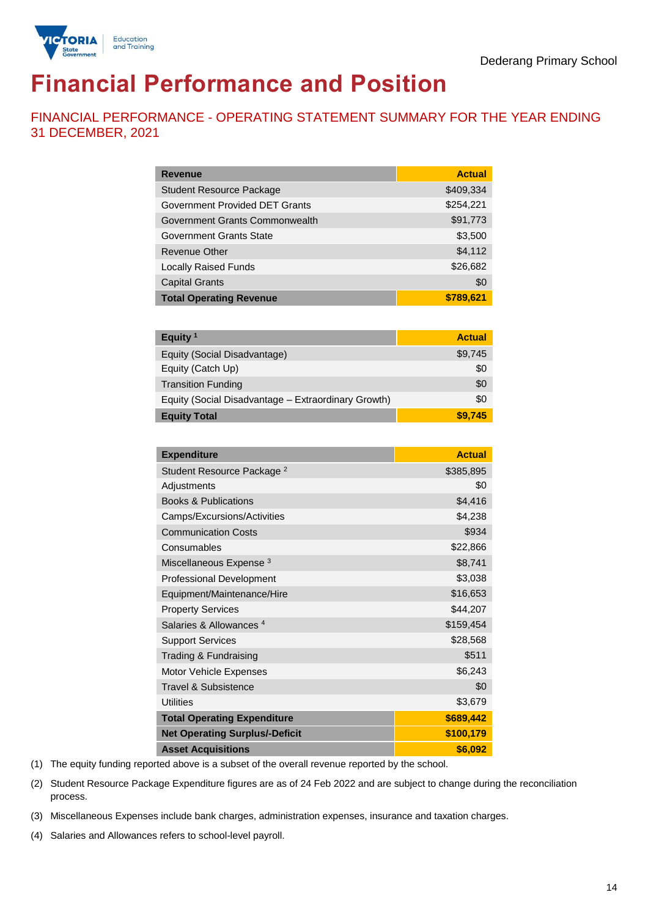

# **Financial Performance and Position**

FINANCIAL PERFORMANCE - OPERATING STATEMENT SUMMARY FOR THE YEAR ENDING 31 DECEMBER, 2021

| <b>Revenue</b>                  | <b>Actual</b> |
|---------------------------------|---------------|
| <b>Student Resource Package</b> | \$409,334     |
| Government Provided DET Grants  | \$254,221     |
| Government Grants Commonwealth  | \$91,773      |
| Government Grants State         | \$3,500       |
| Revenue Other                   | \$4,112       |
| <b>Locally Raised Funds</b>     | \$26,682      |
| <b>Capital Grants</b>           | \$0           |
| <b>Total Operating Revenue</b>  | \$789,621     |

| Equity <sup>1</sup>                                 | <b>Actual</b> |
|-----------------------------------------------------|---------------|
| Equity (Social Disadvantage)                        | \$9,745       |
| Equity (Catch Up)                                   | \$0           |
| <b>Transition Funding</b>                           | \$0           |
| Equity (Social Disadvantage - Extraordinary Growth) | \$0           |
| <b>Equity Total</b>                                 | \$9,745       |

| <b>Expenditure</b>                    | <b>Actual</b> |
|---------------------------------------|---------------|
| Student Resource Package <sup>2</sup> | \$385,895     |
| Adjustments                           | \$0           |
| <b>Books &amp; Publications</b>       | \$4,416       |
| Camps/Excursions/Activities           | \$4,238       |
| <b>Communication Costs</b>            | \$934         |
| Consumables                           | \$22,866      |
| Miscellaneous Expense <sup>3</sup>    | \$8,741       |
| <b>Professional Development</b>       | \$3,038       |
| Equipment/Maintenance/Hire            | \$16,653      |
| <b>Property Services</b>              | \$44,207      |
| Salaries & Allowances <sup>4</sup>    | \$159,454     |
| <b>Support Services</b>               | \$28,568      |
| Trading & Fundraising                 | \$511         |
| Motor Vehicle Expenses                | \$6,243       |
| Travel & Subsistence                  | \$0           |
| <b>Utilities</b>                      | \$3,679       |
| <b>Total Operating Expenditure</b>    | \$689,442     |
| <b>Net Operating Surplus/-Deficit</b> | \$100,179     |
| <b>Asset Acquisitions</b>             | \$6,092       |

(1) The equity funding reported above is a subset of the overall revenue reported by the school.

(2) Student Resource Package Expenditure figures are as of 24 Feb 2022 and are subject to change during the reconciliation process.

(3) Miscellaneous Expenses include bank charges, administration expenses, insurance and taxation charges.

(4) Salaries and Allowances refers to school-level payroll.